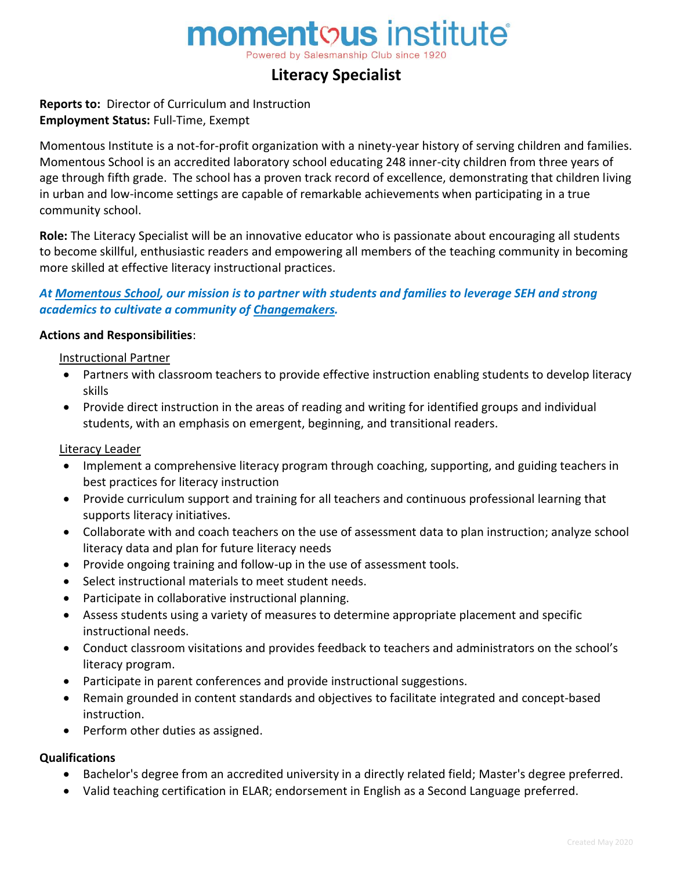# momentous institute<sup>®</sup>

Powered by Salesmanship Club since

# **Literacy Specialist**

# **Reports to:** Director of Curriculum and Instruction **Employment Status:** Full-Time, Exempt

Momentous Institute is a not-for-profit organization with a ninety-year history of serving children and families. Momentous School is an accredited laboratory school educating 248 inner-city children from three years of age through fifth grade. The school has a proven track record of excellence, demonstrating that children living in urban and low-income settings are capable of remarkable achievements when participating in a true community school.

**Role:** The Literacy Specialist will be an innovative educator who is passionate about encouraging all students to become skillful, enthusiastic readers and empowering all members of the teaching community in becoming more skilled at effective literacy instructional practices.

# *At Momentous School, our mission is to partner with students and families to leverage SEH and strong academics to cultivate a community of Changemakers.*

#### **Actions and Responsibilities**:

#### Instructional Partner

- Partners with classroom teachers to provide effective instruction enabling students to develop literacy skills
- Provide direct instruction in the areas of reading and writing for identified groups and individual students, with an emphasis on emergent, beginning, and transitional readers.

#### Literacy Leader

- Implement a comprehensive literacy program through coaching, supporting, and guiding teachers in best practices for literacy instruction
- Provide curriculum support and training for all teachers and continuous professional learning that supports literacy initiatives.
- Collaborate with and coach teachers on the use of assessment data to plan instruction; analyze school literacy data and plan for future literacy needs
- Provide ongoing training and follow-up in the use of assessment tools.
- Select instructional materials to meet student needs.
- Participate in collaborative instructional planning.
- Assess students using a variety of measures to determine appropriate placement and specific instructional needs.
- Conduct classroom visitations and provides feedback to teachers and administrators on the school's literacy program.
- Participate in parent conferences and provide instructional suggestions.
- Remain grounded in content standards and objectives to facilitate integrated and concept-based instruction.
- Perform other duties as assigned.

#### **Qualifications**

- Bachelor's degree from an accredited university in a directly related field; Master's degree preferred.
- Valid teaching certification in ELAR; endorsement in English as a Second Language preferred.